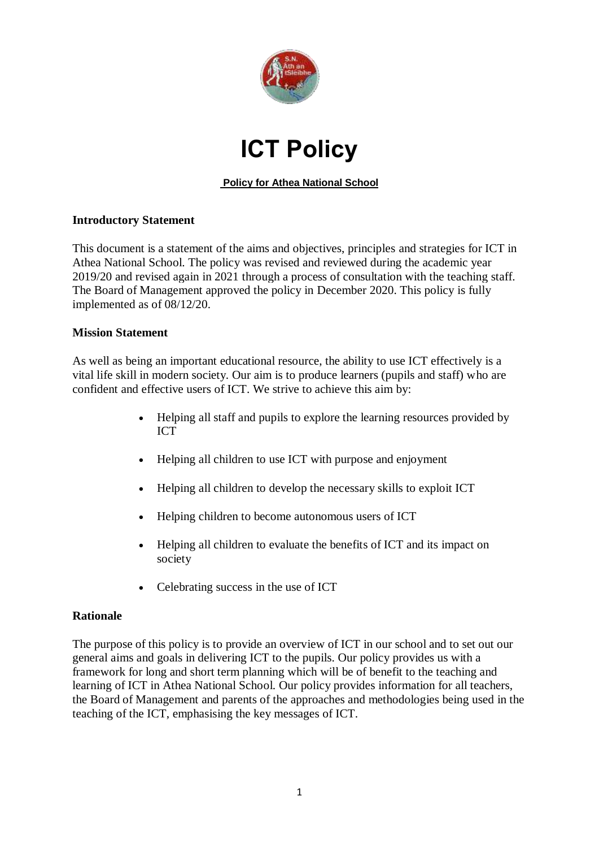

# **ICT Policy**

# **Policy for Athea National School**

## **Introductory Statement**

This document is a statement of the aims and objectives, principles and strategies for ICT in Athea National School. The policy was revised and reviewed during the academic year 2019/20 and revised again in 2021 through a process of consultation with the teaching staff. The Board of Management approved the policy in December 2020. This policy is fully implemented as of 08/12/20.

#### **Mission Statement**

As well as being an important educational resource, the ability to use ICT effectively is a vital life skill in modern society. Our aim is to produce learners (pupils and staff) who are confident and effective users of ICT. We strive to achieve this aim by:

- Helping all staff and pupils to explore the learning resources provided by ICT
- Helping all children to use ICT with purpose and enjoyment
- Helping all children to develop the necessary skills to exploit ICT
- Helping children to become autonomous users of ICT
- Helping all children to evaluate the benefits of ICT and its impact on society
- Celebrating success in the use of ICT

#### **Rationale**

The purpose of this policy is to provide an overview of ICT in our school and to set out our general aims and goals in delivering ICT to the pupils. Our policy provides us with a framework for long and short term planning which will be of benefit to the teaching and learning of ICT in Athea National School. Our policy provides information for all teachers, the Board of Management and parents of the approaches and methodologies being used in the teaching of the ICT, emphasising the key messages of ICT.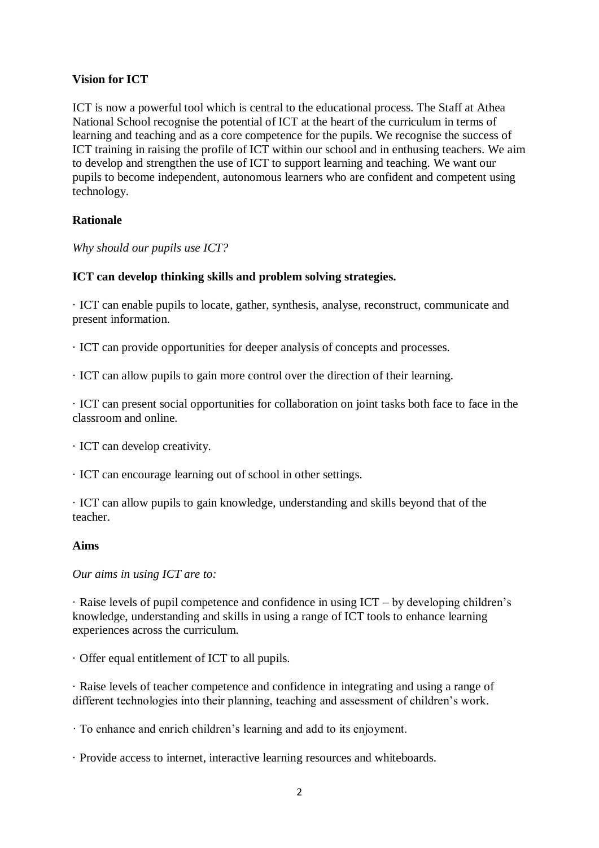# **Vision for ICT**

ICT is now a powerful tool which is central to the educational process. The Staff at Athea National School recognise the potential of ICT at the heart of the curriculum in terms of learning and teaching and as a core competence for the pupils. We recognise the success of ICT training in raising the profile of ICT within our school and in enthusing teachers. We aim to develop and strengthen the use of ICT to support learning and teaching. We want our pupils to become independent, autonomous learners who are confident and competent using technology.

# **Rationale**

*Why should our pupils use ICT?*

# **ICT can develop thinking skills and problem solving strategies.**

· ICT can enable pupils to locate, gather, synthesis, analyse, reconstruct, communicate and present information.

· ICT can provide opportunities for deeper analysis of concepts and processes.

· ICT can allow pupils to gain more control over the direction of their learning.

· ICT can present social opportunities for collaboration on joint tasks both face to face in the classroom and online.

· ICT can develop creativity.

· ICT can encourage learning out of school in other settings.

· ICT can allow pupils to gain knowledge, understanding and skills beyond that of the teacher.

## **Aims**

*Our aims in using ICT are to:*

· Raise levels of pupil competence and confidence in using ICT – by developing children's knowledge, understanding and skills in using a range of ICT tools to enhance learning experiences across the curriculum.

· Offer equal entitlement of ICT to all pupils.

· Raise levels of teacher competence and confidence in integrating and using a range of different technologies into their planning, teaching and assessment of children's work.

· To enhance and enrich children's learning and add to its enjoyment.

· Provide access to internet, interactive learning resources and whiteboards.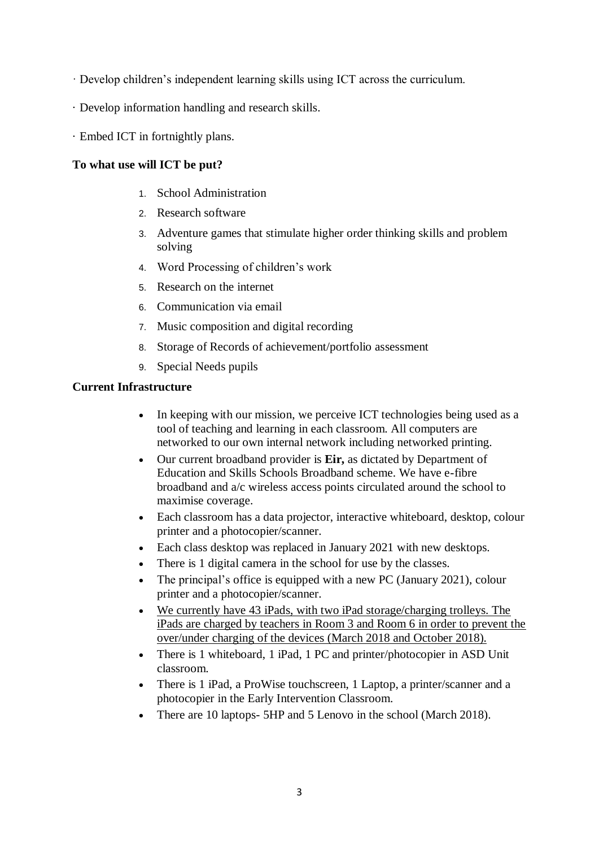- · Develop children's independent learning skills using ICT across the curriculum.
- · Develop information handling and research skills.
- · Embed ICT in fortnightly plans.

#### **To what use will ICT be put?**

- 1. School Administration
- 2. Research software
- 3. Adventure games that stimulate higher order thinking skills and problem solving
- 4. Word Processing of children's work
- 5. Research on the internet
- 6. Communication via email
- 7. Music composition and digital recording
- 8. Storage of Records of achievement/portfolio assessment
- 9. Special Needs pupils

## **Current Infrastructure**

- In keeping with our mission, we perceive ICT technologies being used as a tool of teaching and learning in each classroom. All computers are networked to our own internal network including networked printing.
- Our current broadband provider is **Eir,** as dictated by Department of Education and Skills Schools Broadband scheme. We have e-fibre broadband and a/c wireless access points circulated around the school to maximise coverage.
- Each classroom has a data projector, interactive whiteboard, desktop, colour printer and a photocopier/scanner.
- Each class desktop was replaced in January 2021 with new desktops.
- There is 1 digital camera in the school for use by the classes.
- The principal's office is equipped with a new PC (January 2021), colour printer and a photocopier/scanner.
- We currently have 43 iPads, with two iPad storage/charging trolleys. The iPads are charged by teachers in Room 3 and Room 6 in order to prevent the over/under charging of the devices (March 2018 and October 2018).
- There is 1 whiteboard, 1 iPad, 1 PC and printer/photocopier in ASD Unit classroom.
- There is 1 iPad, a ProWise touchscreen, 1 Laptop, a printer/scanner and a photocopier in the Early Intervention Classroom.
- There are 10 laptops- 5HP and 5 Lenovo in the school (March 2018).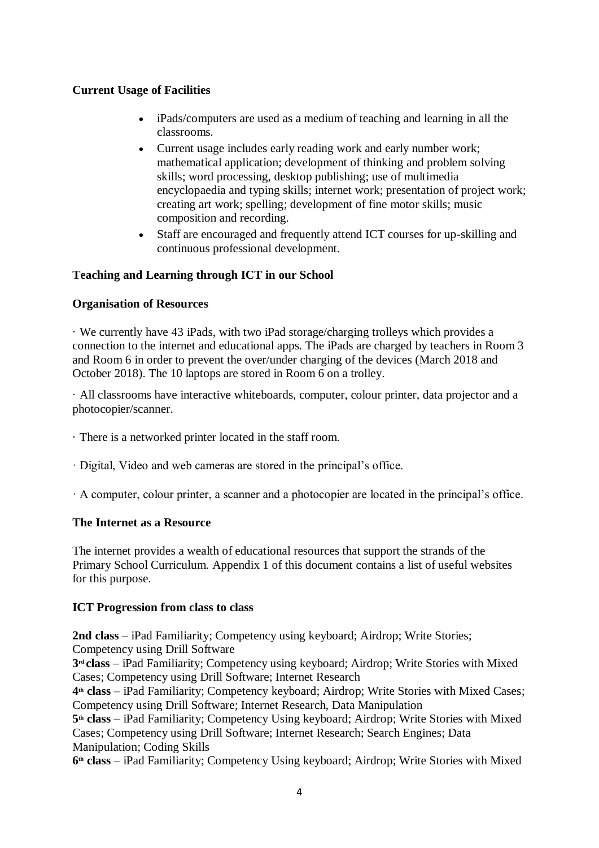# **Current Usage of Facilities**

- iPads/computers are used as a medium of teaching and learning in all the classrooms.
- Current usage includes early reading work and early number work; mathematical application; development of thinking and problem solving skills; word processing, desktop publishing; use of multimedia encyclopaedia and typing skills; internet work; presentation of project work; creating art work; spelling; development of fine motor skills; music composition and recording.
- Staff are encouraged and frequently attend ICT courses for up-skilling and continuous professional development.

# **Teaching and Learning through ICT in our School**

## **Organisation of Resources**

· We currently have 43 iPads, with two iPad storage/charging trolleys which provides a connection to the internet and educational apps. The iPads are charged by teachers in Room 3 and Room 6 in order to prevent the over/under charging of the devices (March 2018 and October 2018). The 10 laptops are stored in Room 6 on a trolley.

· All classrooms have interactive whiteboards, computer, colour printer, data projector and a photocopier/scanner.

- · There is a networked printer located in the staff room.
- · Digital, Video and web cameras are stored in the principal's office.
- · A computer, colour printer, a scanner and a photocopier are located in the principal's office.

## **The Internet as a Resource**

The internet provides a wealth of educational resources that support the strands of the Primary School Curriculum. Appendix 1 of this document contains a list of useful websites for this purpose.

#### **ICT Progression from class to class**

**2nd class** – iPad Familiarity; Competency using keyboard; Airdrop; Write Stories; Competency using Drill Software

**3 rd class** – iPad Familiarity; Competency using keyboard; Airdrop; Write Stories with Mixed Cases; Competency using Drill Software; Internet Research

**4 th class** – iPad Familiarity; Competency keyboard; Airdrop; Write Stories with Mixed Cases; Competency using Drill Software; Internet Research, Data Manipulation

**5 th class** – iPad Familiarity; Competency Using keyboard; Airdrop; Write Stories with Mixed Cases; Competency using Drill Software; Internet Research; Search Engines; Data Manipulation; Coding Skills

**6 th class** – iPad Familiarity; Competency Using keyboard; Airdrop; Write Stories with Mixed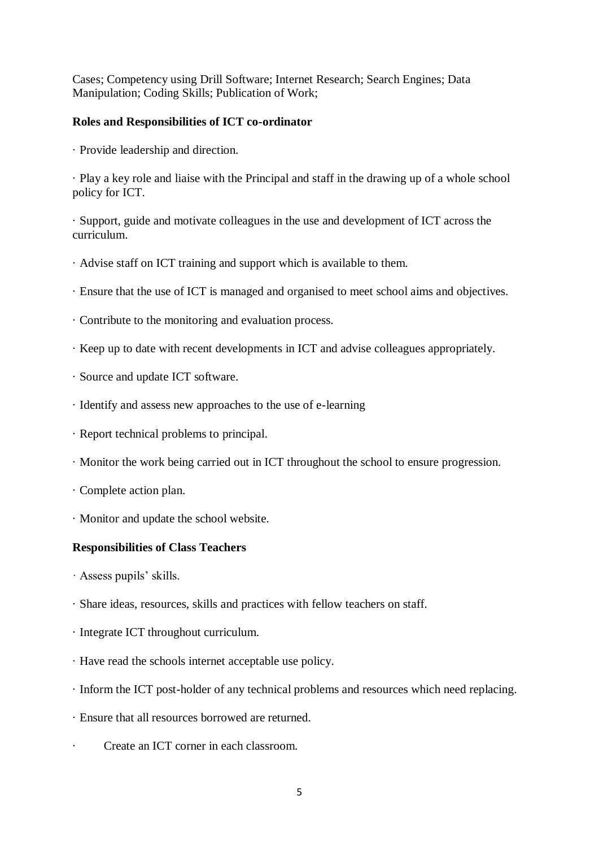Cases; Competency using Drill Software; Internet Research; Search Engines; Data Manipulation; Coding Skills; Publication of Work;

#### **Roles and Responsibilities of ICT co-ordinator**

· Provide leadership and direction.

· Play a key role and liaise with the Principal and staff in the drawing up of a whole school policy for ICT.

· Support, guide and motivate colleagues in the use and development of ICT across the curriculum.

- · Advise staff on ICT training and support which is available to them.
- · Ensure that the use of ICT is managed and organised to meet school aims and objectives.
- · Contribute to the monitoring and evaluation process.
- · Keep up to date with recent developments in ICT and advise colleagues appropriately.
- · Source and update ICT software.
- · Identify and assess new approaches to the use of e-learning
- · Report technical problems to principal.
- · Monitor the work being carried out in ICT throughout the school to ensure progression.
- · Complete action plan.
- · Monitor and update the school website.

#### **Responsibilities of Class Teachers**

- · Assess pupils' skills.
- · Share ideas, resources, skills and practices with fellow teachers on staff.
- · Integrate ICT throughout curriculum.
- · Have read the schools internet acceptable use policy.
- · Inform the ICT post-holder of any technical problems and resources which need replacing.
- · Ensure that all resources borrowed are returned.
- · Create an ICT corner in each classroom.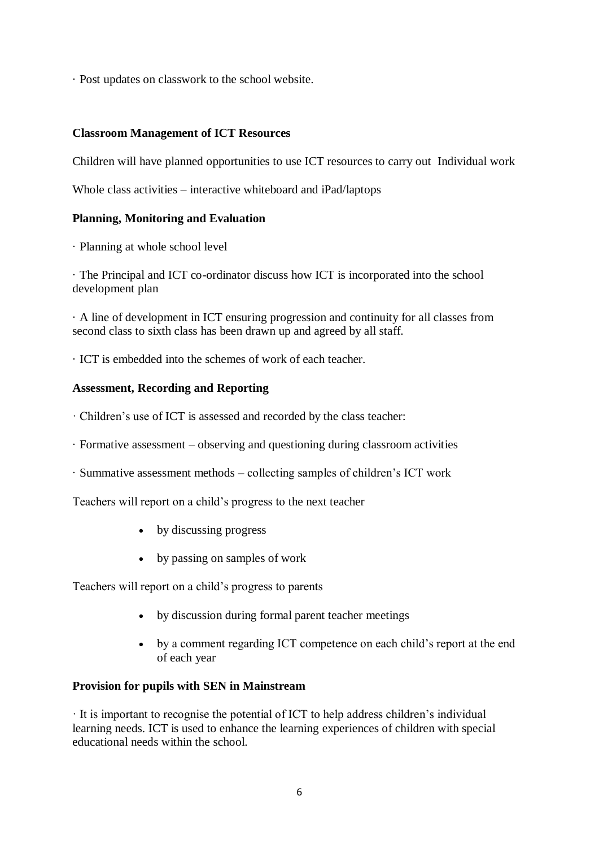· Post updates on classwork to the school website.

## **Classroom Management of ICT Resources**

Children will have planned opportunities to use ICT resources to carry out Individual work

Whole class activities – interactive whiteboard and iPad/laptops

## **Planning, Monitoring and Evaluation**

· Planning at whole school level

· The Principal and ICT co-ordinator discuss how ICT is incorporated into the school development plan

· A line of development in ICT ensuring progression and continuity for all classes from second class to sixth class has been drawn up and agreed by all staff.

· ICT is embedded into the schemes of work of each teacher.

## **Assessment, Recording and Reporting**

· Children's use of ICT is assessed and recorded by the class teacher:

- · Formative assessment observing and questioning during classroom activities
- · Summative assessment methods collecting samples of children's ICT work

Teachers will report on a child's progress to the next teacher

- by discussing progress
- by passing on samples of work

Teachers will report on a child's progress to parents

- by discussion during formal parent teacher meetings
- by a comment regarding ICT competence on each child's report at the end of each year

#### **Provision for pupils with SEN in Mainstream**

· It is important to recognise the potential of ICT to help address children's individual learning needs. ICT is used to enhance the learning experiences of children with special educational needs within the school.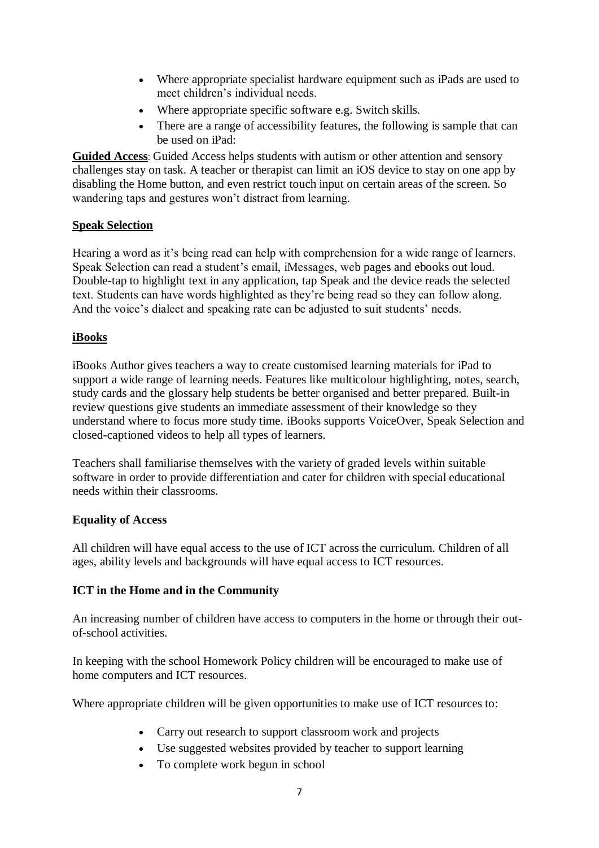- Where appropriate specialist hardware equipment such as iPads are used to meet children's individual needs.
- Where appropriate specific software e.g. Switch skills.
- There are a range of accessibility features, the following is sample that can be used on iPad:

**Guided Access**: Guided Access helps students with autism or other attention and sensory challenges stay on task. A teacher or therapist can limit an iOS device to stay on one app by disabling the Home button, and even restrict touch input on certain areas of the screen. So wandering taps and gestures won't distract from learning.

## **Speak Selection**

Hearing a word as it's being read can help with comprehension for a wide range of learners. Speak Selection can read a student's email, iMessages, web pages and ebooks out loud. Double-tap to highlight text in any application, tap Speak and the device reads the selected text. Students can have words highlighted as they're being read so they can follow along. And the voice's dialect and speaking rate can be adjusted to suit students' needs.

## **iBooks**

iBooks Author gives teachers a way to create customised learning materials for iPad to support a wide range of learning needs. Features like multicolour highlighting, notes, search, study cards and the glossary help students be better organised and better prepared. Built-in review questions give students an immediate assessment of their knowledge so they understand where to focus more study time. iBooks supports VoiceOver, Speak Selection and closed-captioned videos to help all types of learners.

Teachers shall familiarise themselves with the variety of graded levels within suitable software in order to provide differentiation and cater for children with special educational needs within their classrooms.

## **Equality of Access**

All children will have equal access to the use of ICT across the curriculum. Children of all ages, ability levels and backgrounds will have equal access to ICT resources.

## **ICT in the Home and in the Community**

An increasing number of children have access to computers in the home or through their outof-school activities.

In keeping with the school Homework Policy children will be encouraged to make use of home computers and ICT resources.

Where appropriate children will be given opportunities to make use of ICT resources to:

- Carry out research to support classroom work and projects
- Use suggested websites provided by teacher to support learning
- To complete work begun in school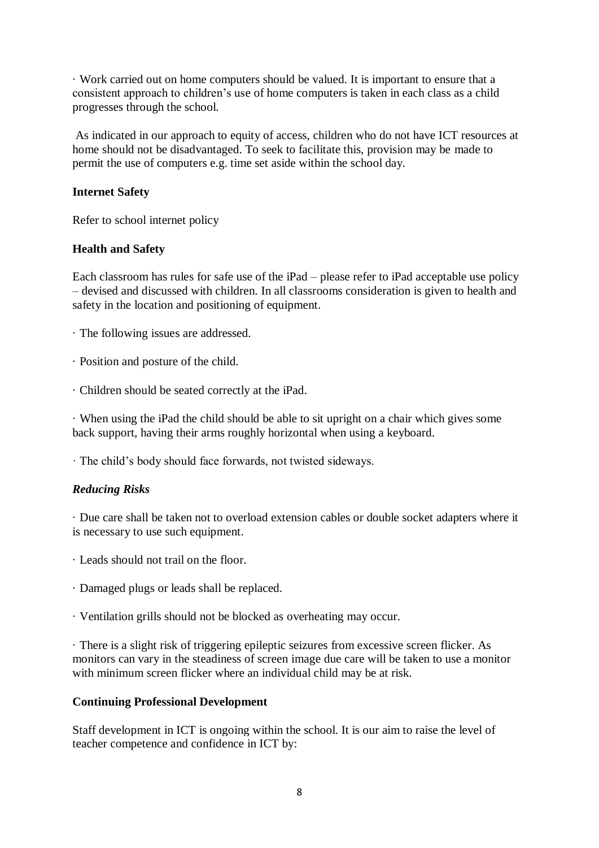· Work carried out on home computers should be valued. It is important to ensure that a consistent approach to children's use of home computers is taken in each class as a child progresses through the school.

As indicated in our approach to equity of access, children who do not have ICT resources at home should not be disadvantaged. To seek to facilitate this, provision may be made to permit the use of computers e.g. time set aside within the school day.

## **Internet Safety**

Refer to school internet policy

## **Health and Safety**

Each classroom has rules for safe use of the iPad – please refer to iPad acceptable use policy – devised and discussed with children. In all classrooms consideration is given to health and safety in the location and positioning of equipment.

- · The following issues are addressed.
- · Position and posture of the child.
- · Children should be seated correctly at the iPad.

· When using the iPad the child should be able to sit upright on a chair which gives some back support, having their arms roughly horizontal when using a keyboard.

· The child's body should face forwards, not twisted sideways.

## *Reducing Risks*

· Due care shall be taken not to overload extension cables or double socket adapters where it is necessary to use such equipment.

- · Leads should not trail on the floor.
- · Damaged plugs or leads shall be replaced.
- · Ventilation grills should not be blocked as overheating may occur.

· There is a slight risk of triggering epileptic seizures from excessive screen flicker. As monitors can vary in the steadiness of screen image due care will be taken to use a monitor with minimum screen flicker where an individual child may be at risk.

#### **Continuing Professional Development**

Staff development in ICT is ongoing within the school. It is our aim to raise the level of teacher competence and confidence in ICT by: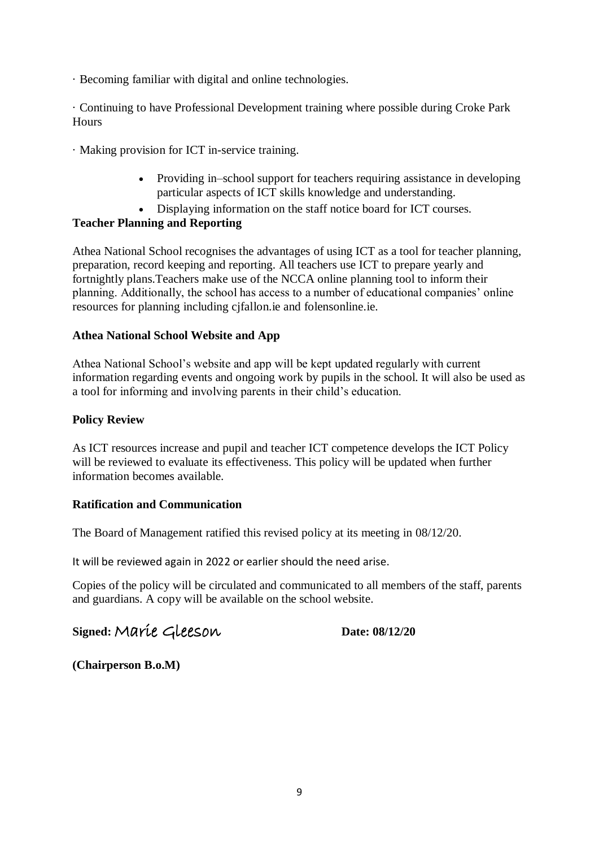· Becoming familiar with digital and online technologies.

· Continuing to have Professional Development training where possible during Croke Park **Hours** 

· Making provision for ICT in-service training.

- Providing in–school support for teachers requiring assistance in developing particular aspects of ICT skills knowledge and understanding.
- Displaying information on the staff notice board for ICT courses.

## **Teacher Planning and Reporting**

Athea National School recognises the advantages of using ICT as a tool for teacher planning, preparation, record keeping and reporting. All teachers use ICT to prepare yearly and fortnightly plans.Teachers make use of the NCCA online planning tool to inform their planning. Additionally, the school has access to a number of educational companies' online resources for planning including cjfallon.ie and folensonline.ie.

## **Athea National School Website and App**

Athea National School's website and app will be kept updated regularly with current information regarding events and ongoing work by pupils in the school. It will also be used as a tool for informing and involving parents in their child's education.

## **Policy Review**

As ICT resources increase and pupil and teacher ICT competence develops the ICT Policy will be reviewed to evaluate its effectiveness. This policy will be updated when further information becomes available.

## **Ratification and Communication**

The Board of Management ratified this revised policy at its meeting in 08/12/20.

It will be reviewed again in 2022 or earlier should the need arise.

Copies of the policy will be circulated and communicated to all members of the staff, parents and guardians. A copy will be available on the school website.

**Signed:** Marie Gleeson **Date: 08/12/20**

**(Chairperson B.o.M)**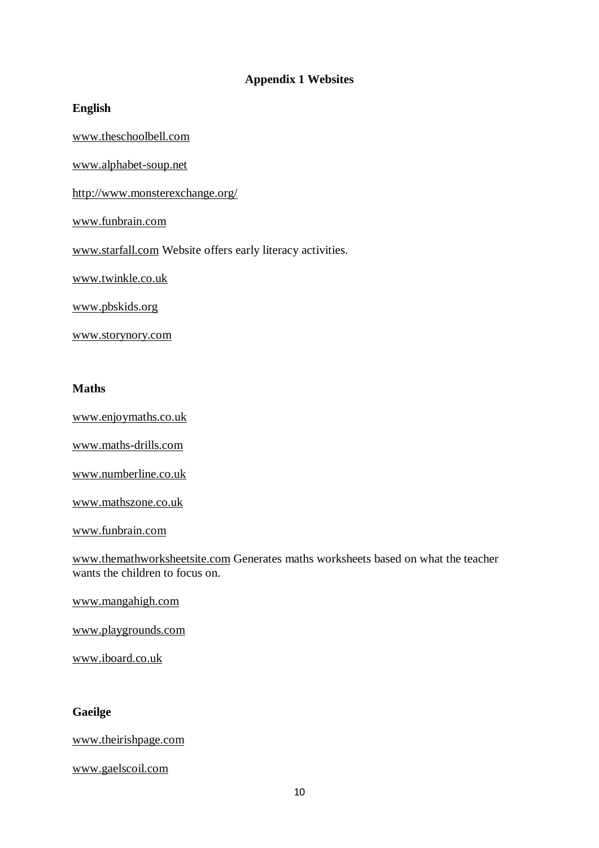## **Appendix 1 Websites**

#### **English**

[www.theschoolbell.com](http://www.theschoolbell.com/)

[www.alphabet-soup.net](http://www.alphabet-soup.net/)

<http://www.monsterexchange.org/>

[www.funbrain.com](http://www.funbrain.com/)

[www.starfall.com](http://www.starfall.com/) Website offers early literacy activities.

[www.twinkle.co.uk](http://www.twinkle.co.uk/)

[www.pbskids.org](http://www.pbskids.org/)

[www.storynory.com](http://www.storynory.com/)

#### **Maths**

[www.enjoymaths.co.uk](http://www.enjoymaths.co.uk/)

[www.maths-drills.com](http://www.maths-drills.com/)

[www.numberline.co.uk](http://www.numberline.co.uk/)

[www.mathszone.co.uk](http://www.mathszone.co.uk/)

[www.funbrain.com](http://www.funbrain.com/)

[www.themathworksheetsite.com](http://www.themathworksheetsite.com/) Generates maths worksheets based on what the teacher wants the children to focus on.

[www.mangahigh.com](http://www.mangahigh.com/)

[www.playgrounds.com](http://www.playgrounds.com/)

[www.iboard.co.uk](http://www.iboard.co.uk/)

#### **Gaeilge**

[www.theirishpage.com](http://www.theirishpage.com/)

[www.gaelscoil.com](http://www.gaelscoil.com/)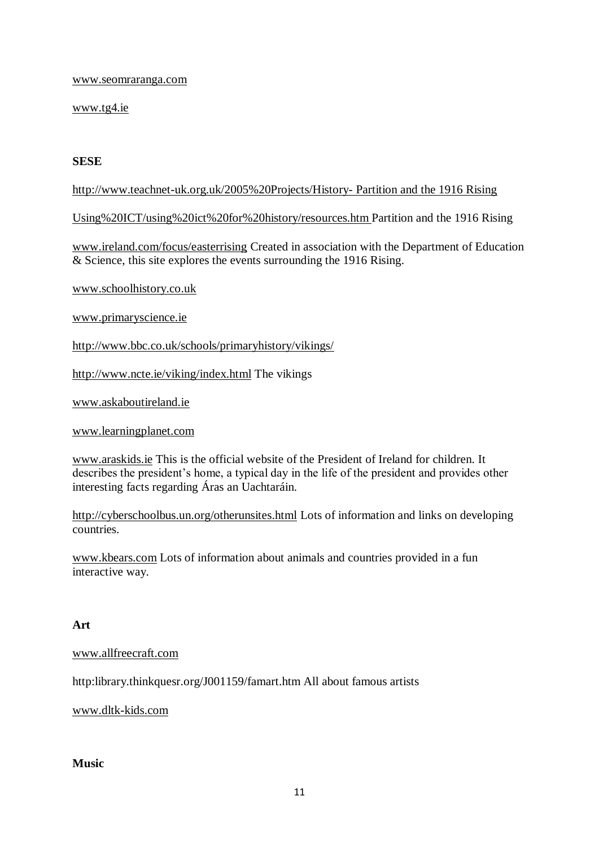#### [www.seomraranga.com](http://www.seomraranga.com/)

## [www.tg4.ie](http://www.tg4.ie/)

# **SESE**

# [http://www.teachnet-uk.org.uk/2005%20Projects/History-](http://www.teachnet-uk.org.uk/2005%20Projects/History-%20%20Partition%20and%20the%201916%20Rising%0dUsing%20ICT/using%20ict%20for%20history/resources.htm) Partition and the 1916 Rising

[Using%20ICT/using%20ict%20for%20history/resources.htm](http://www.teachnet-uk.org.uk/2005%20Projects/History-%20%20Partition%20and%20the%201916%20Rising%0dUsing%20ICT/using%20ict%20for%20history/resources.htm) Partition and the 1916 Rising

[www.ireland.com/focus/easterrising](http://www.ireland.com/focus/easterrising) Created in association with the Department of Education & Science, this site explores the events surrounding the 1916 Rising.

[www.schoolhistory.co.uk](http://www.schoolhistory.co.uk/)

[www.primaryscience.ie](http://www.promaryscience.ie/)

<http://www.bbc.co.uk/schools/primaryhistory/vikings/>

<http://www.ncte.ie/viking/index.html> The vikings

[www.askaboutireland.ie](http://www.askaboutireland.ie/)

[www.learningplanet.com](http://www.learningplanet.com/)

[www.araskids.ie](http://www.araskids.ie/) This is the official website of the President of Ireland for children. It describes the president's home, a typical day in the life of the president and provides other interesting facts regarding Áras an Uachtaráin.

<http://cyberschoolbus.un.org/otherunsites.html> Lots of information and links on developing countries.

[www.kbears.com](http://www.kbears.com/) Lots of information about animals and countries provided in a fun interactive way.

## **Art**

## [www.allfreecraft.com](http://www.allfreecraft.com/)

http:library.thinkquesr.org/J001159/famart.htm All about famous artists

## [www.dltk-kids.com](http://www.dltk-kids.com/)

## **Music**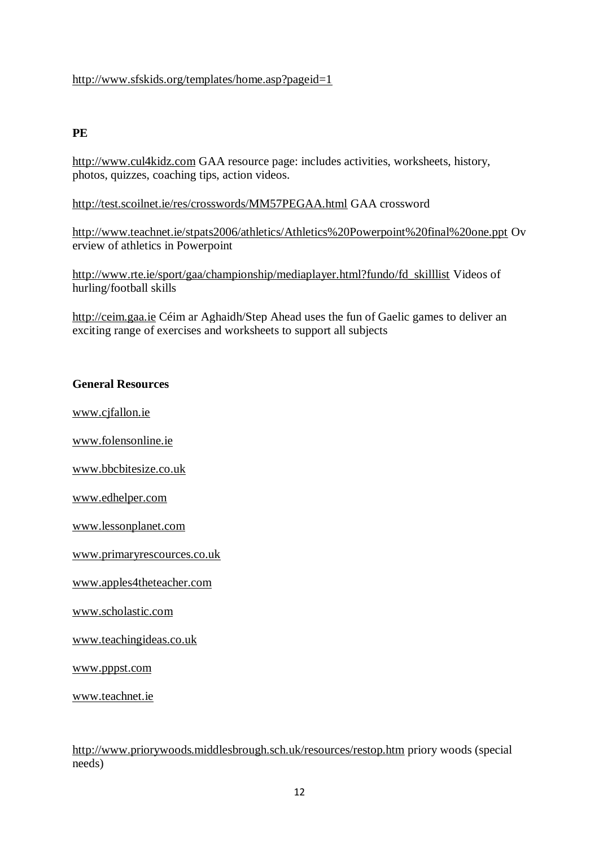## <http://www.sfskids.org/templates/home.asp?pageid=1>

# **PE**

[http://www.cul4kidz.com](http://www.cul4kidz.com/) GAA resource page: includes activities, worksheets, history, photos, quizzes, coaching tips, action videos.

<http://test.scoilnet.ie/res/crosswords/MM57PEGAA.html> GAA crossword

<http://www.teachnet.ie/stpats2006/athletics/Athletics%20Powerpoint%20final%20one.ppt> Ov erview of athletics in Powerpoint

[http://www.rte.ie/sport/gaa/championship/mediaplayer.html?fundo/fd\\_skilllist](http://www.rte.ie/sport/gaa/championship/mediaplayer.html?fundo/fd_skilllist) Videos of hurling/football skills

[http://ceim.gaa.ie](http://ceim.gaa.ie/) Céim ar Aghaidh/Step Ahead uses the fun of Gaelic games to deliver an exciting range of exercises and worksheets to support all subjects

## **General Resources**

[www.cjfallon.ie](http://www.cjfallon.ie/)

[www.folensonline.ie](http://www.folensonline.ie/)

[www.bbcbitesize.co.uk](http://www.bbcbitesize.co.uk/)

[www.edhelper.com](http://www.edhelper.com/)

[www.lessonplanet.com](http://www.lessonplanet.com/)

[www.primaryrescources.co.uk](http://www.primaryrescources.co.uk/)

[www.apples4theteacher.com](http://www.apples4theteacher.com/)

[www.scholastic.com](http://www.scholastic.com/)

[www.teachingideas.co.uk](http://www.teachingideas.co.uk/)

[www.pppst.com](http://www.pppst.com/)

[www.teachnet.ie](http://www.teachnet.ie/)

<http://www.priorywoods.middlesbrough.sch.uk/resources/restop.htm> priory woods (special needs)